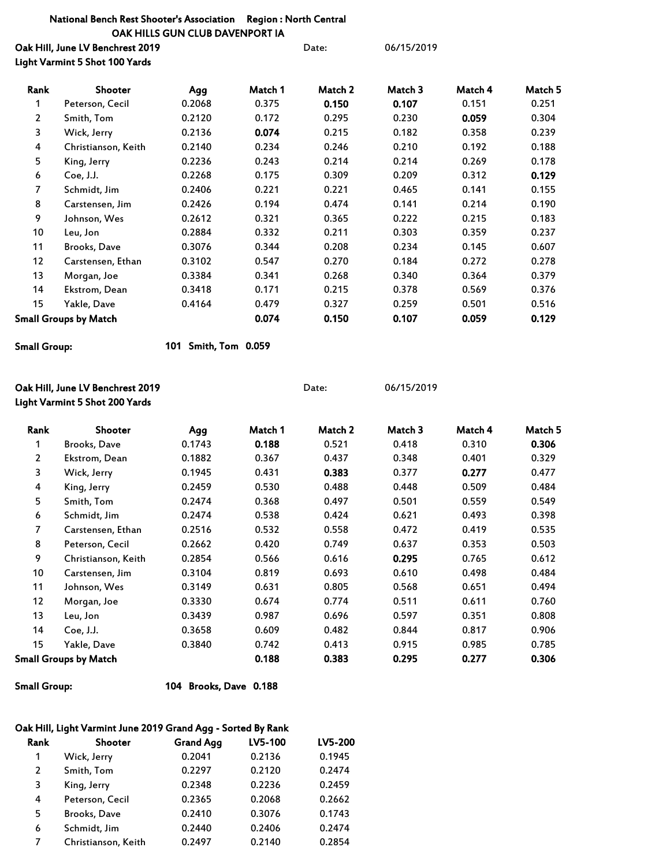## National Bench Rest Shooter's Association Region : North Central OAK HILLS GUN CLUB DAVENPORT IA

Oak Hill, June LV Benchrest 2019 **Date:** 06/15/2019 Light Varmint 5 Shot 100 Yards

| Rank           | <b>Shooter</b>        | Agg    | Match 1 | Match 2 | Match 3 | Match 4 | Match 5 |
|----------------|-----------------------|--------|---------|---------|---------|---------|---------|
| 1              | Peterson, Cecil       | 0.2068 | 0.375   | 0.150   | 0.107   | 0.151   | 0.251   |
| $\overline{2}$ | Smith, Tom            | 0.2120 | 0.172   | 0.295   | 0.230   | 0.059   | 0.304   |
| 3              | Wick, Jerry           | 0.2136 | 0.074   | 0.215   | 0.182   | 0.358   | 0.239   |
| 4              | Christianson, Keith   | 0.2140 | 0.234   | 0.246   | 0.210   | 0.192   | 0.188   |
| 5              | King, Jerry           | 0.2236 | 0.243   | 0.214   | 0.214   | 0.269   | 0.178   |
| 6              | Coe, J.J.             | 0.2268 | 0.175   | 0.309   | 0.209   | 0.312   | 0.129   |
| $\overline{7}$ | Schmidt, Jim          | 0.2406 | 0.221   | 0.221   | 0.465   | 0.141   | 0.155   |
| 8              | Carstensen, Jim       | 0.2426 | 0.194   | 0.474   | 0.141   | 0.214   | 0.190   |
| 9              | Johnson, Wes          | 0.2612 | 0.321   | 0.365   | 0.222   | 0.215   | 0.183   |
| 10             | Leu, Jon              | 0.2884 | 0.332   | 0.211   | 0.303   | 0.359   | 0.237   |
| 11             | Brooks, Dave          | 0.3076 | 0.344   | 0.208   | 0.234   | 0.145   | 0.607   |
| 12             | Carstensen, Ethan     | 0.3102 | 0.547   | 0.270   | 0.184   | 0.272   | 0.278   |
| 13             | Morgan, Joe           | 0.3384 | 0.341   | 0.268   | 0.340   | 0.364   | 0.379   |
| 14             | Ekstrom, Dean         | 0.3418 | 0.171   | 0.215   | 0.378   | 0.569   | 0.376   |
| 15             | Yakle, Dave           | 0.4164 | 0.479   | 0.327   | 0.259   | 0.501   | 0.516   |
|                | Small Groups by Match |        | 0.074   | 0.150   | 0.107   | 0.059   | 0.129   |

```
Small Group:
```
101 Smith, Tom 0.059

| Oak Hill, June LV Benchrest 2019<br>Light Varmint 5 Shot 200 Yards |                     |        | Date:   |         | 06/15/2019 |         |         |
|--------------------------------------------------------------------|---------------------|--------|---------|---------|------------|---------|---------|
| Rank                                                               | Shooter             | Agg    | Match 1 | Match 2 | Match 3    | Match 4 | Match 5 |
| 1                                                                  | Brooks, Dave        | 0.1743 | 0.188   | 0.521   | 0.418      | 0.310   | 0.306   |
| 2                                                                  | Ekstrom, Dean       | 0.1882 | 0.367   | 0.437   | 0.348      | 0.401   | 0.329   |
| 3                                                                  | Wick, Jerry         | 0.1945 | 0.431   | 0.383   | 0.377      | 0.277   | 0.477   |
| 4                                                                  | King, Jerry         | 0.2459 | 0.530   | 0.488   | 0.448      | 0.509   | 0.484   |
| 5                                                                  | Smith, Tom          | 0.2474 | 0.368   | 0.497   | 0.501      | 0.559   | 0.549   |
| 6                                                                  | Schmidt, Jim        | 0.2474 | 0.538   | 0.424   | 0.621      | 0.493   | 0.398   |
| 7                                                                  | Carstensen, Ethan   | 0.2516 | 0.532   | 0.558   | 0.472      | 0.419   | 0.535   |
| 8                                                                  | Peterson, Cecil     | 0.2662 | 0.420   | 0.749   | 0.637      | 0.353   | 0.503   |
| 9                                                                  | Christianson, Keith | 0.2854 | 0.566   | 0.616   | 0.295      | 0.765   | 0.612   |
| 10                                                                 | Carstensen, Jim     | 0.3104 | 0.819   | 0.693   | 0.610      | 0.498   | 0.484   |
| 11                                                                 | Johnson, Wes        | 0.3149 | 0.631   | 0.805   | 0.568      | 0.651   | 0.494   |
| 12                                                                 | Morgan, Joe         | 0.3330 | 0.674   | 0.774   | 0.511      | 0.611   | 0.760   |
| 13                                                                 | Leu, Jon            | 0.3439 | 0.987   | 0.696   | 0.597      | 0.351   | 0.808   |
| 14                                                                 | Coe, J.J.           | 0.3658 | 0.609   | 0.482   | 0.844      | 0.817   | 0.906   |
| 15                                                                 | Yakle, Dave         | 0.3840 | 0.742   | 0.413   | 0.915      | 0.985   | 0.785   |
| <b>Small Groups by Match</b>                                       |                     |        | 0.188   | 0.383   | 0.295      | 0.277   | 0.306   |

Small Group: 104 Brooks, Dave 0.188

## Oak Hill, Light Varmint June 2019 Grand Agg - Sorted By Rank

| Rank | <b>Shooter</b>      | <b>Grand Agg</b> | LV5-100 | LV5-200 |
|------|---------------------|------------------|---------|---------|
| 1    | Wick, Jerry         | 0.2041           | 0.2136  | 0.1945  |
| 2    | Smith, Tom          | 0.2297           | 0.2120  | 0.2474  |
| 3    | King, Jerry         | 0.2348           | 0.2236  | 0.2459  |
| 4    | Peterson, Cecil     | 0.2365           | 0.2068  | 0.2662  |
| 5    | Brooks, Dave        | 0.2410           | 0.3076  | 0.1743  |
| 6    | Schmidt, Jim        | 0.2440           | 0.2406  | 0.2474  |
| 7    | Christianson, Keith | 0.2497           | 0.2140  | 0.2854  |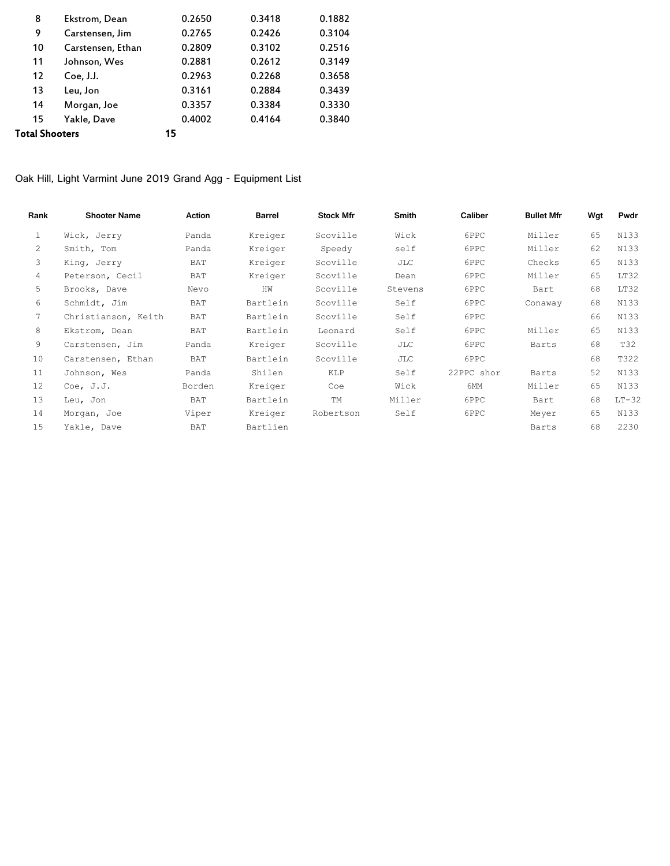| 8              | Ekstrom, Dean     | 0.2650 | 0.3418 | 0.1882 |
|----------------|-------------------|--------|--------|--------|
| 9              | Carstensen, Jim   | 0.2765 | 0.2426 | 0.3104 |
| 10             | Carstensen, Ethan | 0.2809 | 0.3102 | 0.2516 |
| 11             | Johnson, Wes      | 0.2881 | 0.2612 | 0.3149 |
| 12             | Coe, J.J.         | 0.2963 | 0.2268 | 0.3658 |
| 13             | Leu, Jon          | 0.3161 | 0.2884 | 0.3439 |
| 14             | Morgan, Joe       | 0.3357 | 0.3384 | 0.3330 |
| 15             | Yakle, Dave       | 0.4002 | 0.4164 | 0.3840 |
| Total Shooters |                   | 15     |        |        |

Oak Hill, Light Varmint June 2019 Grand Agg - Equipment List

| Rank | <b>Shooter Name</b> | <b>Action</b> | <b>Barrel</b> | <b>Stock Mfr</b> | <b>Smith</b> | Caliber    | <b>Bullet Mfr</b> | Wgt | Pwdr    |
|------|---------------------|---------------|---------------|------------------|--------------|------------|-------------------|-----|---------|
| 1    | Wick, Jerry         | Panda         | Kreiger       | Scoville         | Wick         | 6PPC       | Miller            | 65  | N133    |
| 2    | Smith, Tom          | Panda         | Kreiger       | Speedy           | self         | 6PPC       | Miller            | 62  | N133    |
| 3    | King, Jerry         | BAT           | Kreiger       | Scoville         | JLC          | 6PPC       | Checks            | 65  | N133    |
| 4    | Peterson, Cecil     | BAT           | Kreiger       | Scoville         | Dean         | 6PPC       | Miller            | 65  | LT32    |
| 5    | Brooks, Dave        | Nevo          | HW            | Scoville         | Stevens      | 6PPC       | Bart              | 68  | LT32    |
| 6    | Schmidt, Jim        | BAT           | Bartlein      | Scoville         | Self         | 6PPC       | Conaway           | 68  | N133    |
| 7    | Christianson, Keith | BAT           | Bartlein      | Scoville         | Self         | 6PPC       |                   | 66  | N133    |
| 8    | Ekstrom, Dean       | BAT           | Bartlein      | Leonard          | Self         | 6PPC       | Miller            | 65  | N133    |
| 9    | Carstensen, Jim     | Panda         | Kreiger       | Scoville         | JLC          | 6PPC       | Barts             | 68  | T32     |
| 10   | Carstensen, Ethan   | BAT           | Bartlein      | Scoville         | JLC          | 6PPC       |                   | 68  | T322    |
| 11   | Johnson, Wes        | Panda         | Shilen        | <b>KLP</b>       | Self         | 22PPC shor | Barts             | 52  | N133    |
| 12   | Coe, $J.J.$         | Borden        | Kreiger       | Coe              | Wick         | 6MM        | Miller            | 65  | N133    |
| 13   | Leu, Jon            | BAT           | Bartlein      | TM               | Miller       | 6PPC       | Bart              | 68  | $LT-32$ |
| 14   | Morgan, Joe         | Viper         | Kreiger       | Robertson        | Self         | 6PPC       | Meyer             | 65  | N133    |
| 15   | Yakle, Dave         | BAT           | Bartlien      |                  |              |            | Barts             | 68  | 2230    |